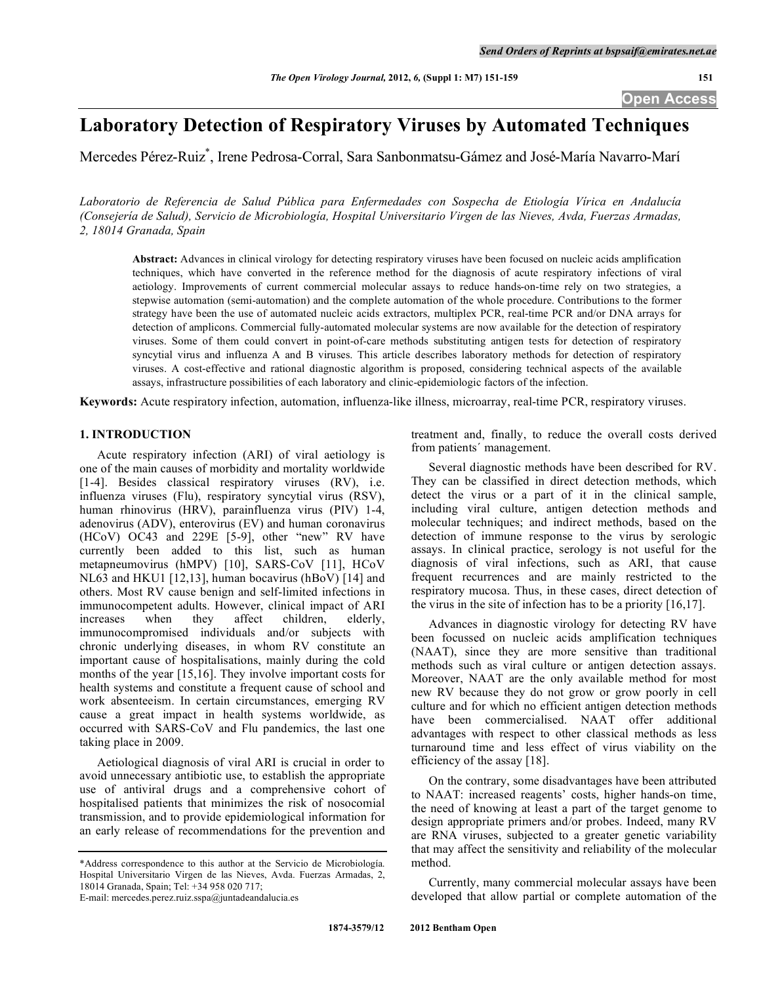# **Laboratory Detection of Respiratory Viruses by Automated Techniques**

Mercedes Pérez-Ruiz\* , Irene Pedrosa-Corral, Sara Sanbonmatsu-Gámez and José-María Navarro-Marí

*Laboratorio de Referencia de Salud Pública para Enfermedades con Sospecha de Etiología Vírica en Andalucía (Consejería de Salud), Servicio de Microbiología, Hospital Universitario Virgen de las Nieves, Avda, Fuerzas Armadas, 2, 18014 Granada, Spain* 

**Abstract:** Advances in clinical virology for detecting respiratory viruses have been focused on nucleic acids amplification techniques, which have converted in the reference method for the diagnosis of acute respiratory infections of viral aetiology. Improvements of current commercial molecular assays to reduce hands-on-time rely on two strategies, a stepwise automation (semi-automation) and the complete automation of the whole procedure. Contributions to the former strategy have been the use of automated nucleic acids extractors, multiplex PCR, real-time PCR and/or DNA arrays for detection of amplicons. Commercial fully-automated molecular systems are now available for the detection of respiratory viruses. Some of them could convert in point-of-care methods substituting antigen tests for detection of respiratory syncytial virus and influenza A and B viruses. This article describes laboratory methods for detection of respiratory viruses. A cost-effective and rational diagnostic algorithm is proposed, considering technical aspects of the available assays, infrastructure possibilities of each laboratory and clinic-epidemiologic factors of the infection.

**Keywords:** Acute respiratory infection, automation, influenza-like illness, microarray, real-time PCR, respiratory viruses.

## **1. INTRODUCTION**

 Acute respiratory infection (ARI) of viral aetiology is one of the main causes of morbidity and mortality worldwide [1-4]. Besides classical respiratory viruses (RV), i.e. influenza viruses (Flu), respiratory syncytial virus (RSV), human rhinovirus (HRV), parainfluenza virus (PIV) 1-4, adenovirus (ADV), enterovirus (EV) and human coronavirus (HCoV) OC43 and 229E [5-9], other "new" RV have currently been added to this list, such as human metapneumovirus (hMPV) [10], SARS-CoV [11], HCoV NL63 and HKU1 [12,13], human bocavirus (hBoV) [14] and others. Most RV cause benign and self-limited infections in immunocompetent adults. However, clinical impact of ARI increases when they affect children, elderly, immunocompromised individuals and/or subjects with chronic underlying diseases, in whom RV constitute an important cause of hospitalisations, mainly during the cold months of the year [15,16]. They involve important costs for health systems and constitute a frequent cause of school and work absenteeism. In certain circumstances, emerging RV cause a great impact in health systems worldwide, as occurred with SARS-CoV and Flu pandemics, the last one taking place in 2009.

 Aetiological diagnosis of viral ARI is crucial in order to avoid unnecessary antibiotic use, to establish the appropriate use of antiviral drugs and a comprehensive cohort of hospitalised patients that minimizes the risk of nosocomial transmission, and to provide epidemiological information for an early release of recommendations for the prevention and

\*Address correspondence to this author at the Servicio de Microbiología. Hospital Universitario Virgen de las Nieves, Avda. Fuerzas Armadas, 2, 18014 Granada, Spain; Tel: +34 958 020 717;

E-mail: mercedes.perez.ruiz.sspa@juntadeandalucia.es

treatment and, finally, to reduce the overall costs derived from patients´ management.

 Several diagnostic methods have been described for RV. They can be classified in direct detection methods, which detect the virus or a part of it in the clinical sample, including viral culture, antigen detection methods and molecular techniques; and indirect methods, based on the detection of immune response to the virus by serologic assays. In clinical practice, serology is not useful for the diagnosis of viral infections, such as ARI, that cause frequent recurrences and are mainly restricted to the respiratory mucosa. Thus, in these cases, direct detection of the virus in the site of infection has to be a priority [16,17].

 Advances in diagnostic virology for detecting RV have been focussed on nucleic acids amplification techniques (NAAT), since they are more sensitive than traditional methods such as viral culture or antigen detection assays. Moreover, NAAT are the only available method for most new RV because they do not grow or grow poorly in cell culture and for which no efficient antigen detection methods have been commercialised. NAAT offer additional advantages with respect to other classical methods as less turnaround time and less effect of virus viability on the efficiency of the assay [18].

 On the contrary, some disadvantages have been attributed to NAAT: increased reagents' costs, higher hands-on time, the need of knowing at least a part of the target genome to design appropriate primers and/or probes. Indeed, many RV are RNA viruses, subjected to a greater genetic variability that may affect the sensitivity and reliability of the molecular method.

 Currently, many commercial molecular assays have been developed that allow partial or complete automation of the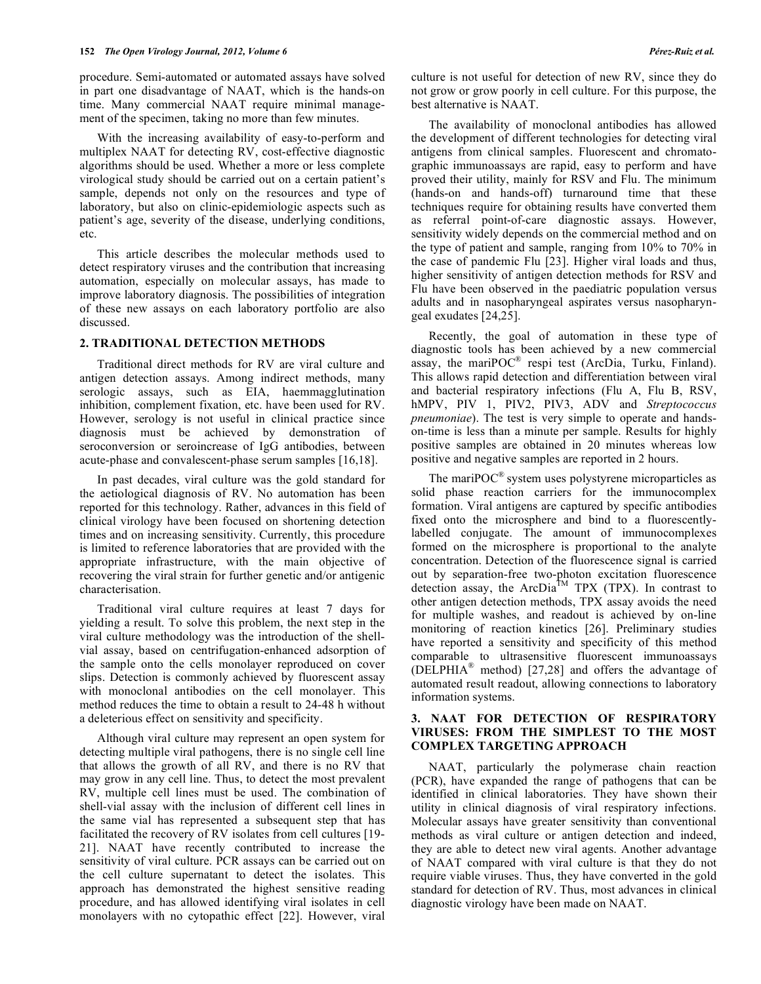procedure. Semi-automated or automated assays have solved in part one disadvantage of NAAT, which is the hands-on time. Many commercial NAAT require minimal management of the specimen, taking no more than few minutes.

 With the increasing availability of easy-to-perform and multiplex NAAT for detecting RV, cost-effective diagnostic algorithms should be used. Whether a more or less complete virological study should be carried out on a certain patient's sample, depends not only on the resources and type of laboratory, but also on clinic-epidemiologic aspects such as patient's age, severity of the disease, underlying conditions, etc.

 This article describes the molecular methods used to detect respiratory viruses and the contribution that increasing automation, especially on molecular assays, has made to improve laboratory diagnosis. The possibilities of integration of these new assays on each laboratory portfolio are also discussed.

## **2. TRADITIONAL DETECTION METHODS**

 Traditional direct methods for RV are viral culture and antigen detection assays. Among indirect methods, many serologic assays, such as EIA, haemmagglutination inhibition, complement fixation, etc. have been used for RV. However, serology is not useful in clinical practice since diagnosis must be achieved by demonstration of seroconversion or seroincrease of IgG antibodies, between acute-phase and convalescent-phase serum samples [16,18].

 In past decades, viral culture was the gold standard for the aetiological diagnosis of RV. No automation has been reported for this technology. Rather, advances in this field of clinical virology have been focused on shortening detection times and on increasing sensitivity. Currently, this procedure is limited to reference laboratories that are provided with the appropriate infrastructure, with the main objective of recovering the viral strain for further genetic and/or antigenic characterisation.

 Traditional viral culture requires at least 7 days for yielding a result. To solve this problem, the next step in the viral culture methodology was the introduction of the shellvial assay, based on centrifugation-enhanced adsorption of the sample onto the cells monolayer reproduced on cover slips. Detection is commonly achieved by fluorescent assay with monoclonal antibodies on the cell monolayer. This method reduces the time to obtain a result to 24-48 h without a deleterious effect on sensitivity and specificity.

 Although viral culture may represent an open system for detecting multiple viral pathogens, there is no single cell line that allows the growth of all RV, and there is no RV that may grow in any cell line. Thus, to detect the most prevalent RV, multiple cell lines must be used. The combination of shell-vial assay with the inclusion of different cell lines in the same vial has represented a subsequent step that has facilitated the recovery of RV isolates from cell cultures [19- 21]. NAAT have recently contributed to increase the sensitivity of viral culture. PCR assays can be carried out on the cell culture supernatant to detect the isolates. This approach has demonstrated the highest sensitive reading procedure, and has allowed identifying viral isolates in cell monolayers with no cytopathic effect [22]. However, viral

culture is not useful for detection of new RV, since they do not grow or grow poorly in cell culture. For this purpose, the best alternative is NAAT.

 The availability of monoclonal antibodies has allowed the development of different technologies for detecting viral antigens from clinical samples. Fluorescent and chromatographic immunoassays are rapid, easy to perform and have proved their utility, mainly for RSV and Flu. The minimum (hands-on and hands-off) turnaround time that these techniques require for obtaining results have converted them as referral point-of-care diagnostic assays. However, sensitivity widely depends on the commercial method and on the type of patient and sample, ranging from 10% to 70% in the case of pandemic Flu [23]. Higher viral loads and thus, higher sensitivity of antigen detection methods for RSV and Flu have been observed in the paediatric population versus adults and in nasopharyngeal aspirates versus nasopharyngeal exudates [24,25].

 Recently, the goal of automation in these type of diagnostic tools has been achieved by a new commercial assay, the mariPOC® respi test (ArcDia, Turku, Finland). This allows rapid detection and differentiation between viral and bacterial respiratory infections (Flu A, Flu B, RSV, hMPV, PIV 1, PIV2, PIV3, ADV and *Streptococcus pneumoniae*). The test is very simple to operate and handson-time is less than a minute per sample. Results for highly positive samples are obtained in 20 minutes whereas low positive and negative samples are reported in 2 hours.

The mariPO $C^{\mathcal{B}}$  system uses polystyrene microparticles as solid phase reaction carriers for the immunocomplex formation. Viral antigens are captured by specific antibodies fixed onto the microsphere and bind to a fluorescentlylabelled conjugate. The amount of immunocomplexes formed on the microsphere is proportional to the analyte concentration. Detection of the fluorescence signal is carried out by separation-free two-photon excitation fluorescence detection assay, the ArcDia<sup>TM</sup> TPX (TPX). In contrast to other antigen detection methods, TPX assay avoids the need for multiple washes, and readout is achieved by on-line monitoring of reaction kinetics [26]. Preliminary studies have reported a sensitivity and specificity of this method comparable to ultrasensitive fluorescent immunoassays (DELPHIA® method) [27,28] and offers the advantage of automated result readout, allowing connections to laboratory information systems.

# **3. NAAT FOR DETECTION OF RESPIRATORY VIRUSES: FROM THE SIMPLEST TO THE MOST COMPLEX TARGETING APPROACH**

 NAAT, particularly the polymerase chain reaction (PCR), have expanded the range of pathogens that can be identified in clinical laboratories. They have shown their utility in clinical diagnosis of viral respiratory infections. Molecular assays have greater sensitivity than conventional methods as viral culture or antigen detection and indeed, they are able to detect new viral agents. Another advantage of NAAT compared with viral culture is that they do not require viable viruses. Thus, they have converted in the gold standard for detection of RV. Thus, most advances in clinical diagnostic virology have been made on NAAT.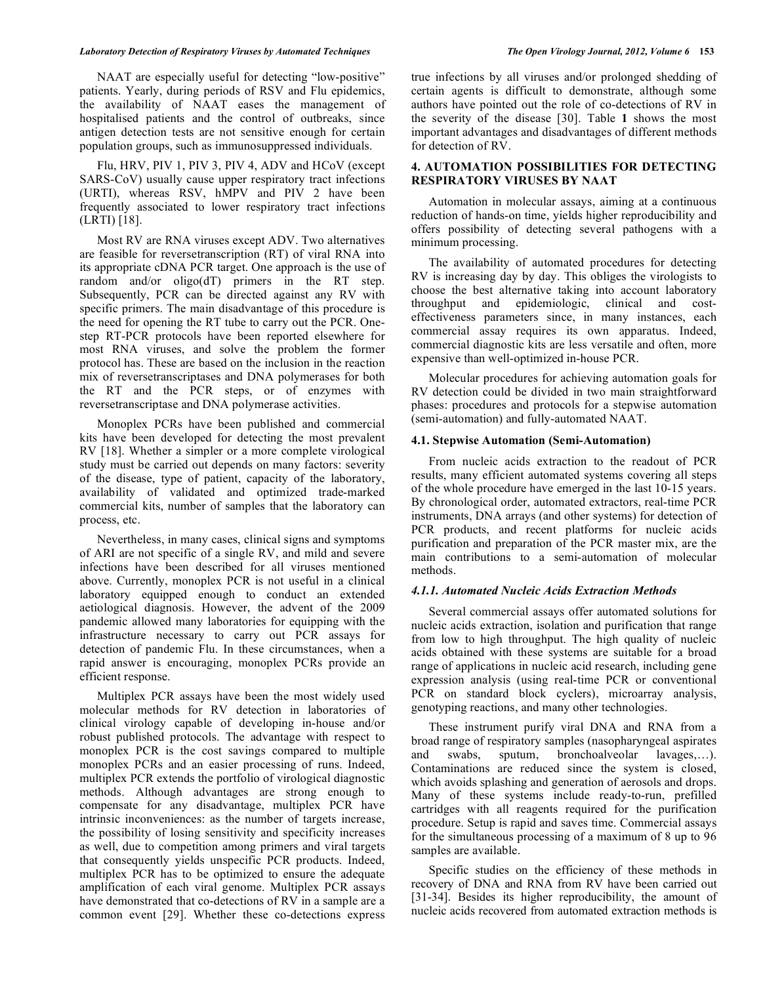#### *Laboratory Detection of Respiratory Viruses by Automated Techniques The Open Virology Journal, 2012, Volume 6* **153**

 NAAT are especially useful for detecting "low-positive" patients. Yearly, during periods of RSV and Flu epidemics, the availability of NAAT eases the management of hospitalised patients and the control of outbreaks, since antigen detection tests are not sensitive enough for certain population groups, such as immunosuppressed individuals.

 Flu, HRV, PIV 1, PIV 3, PIV 4, ADV and HCoV (except SARS-CoV) usually cause upper respiratory tract infections (URTI), whereas RSV, hMPV and PIV 2 have been frequently associated to lower respiratory tract infections (LRTI) [18].

 Most RV are RNA viruses except ADV. Two alternatives are feasible for reversetranscription (RT) of viral RNA into its appropriate cDNA PCR target. One approach is the use of random and/or oligo(dT) primers in the RT step. Subsequently, PCR can be directed against any RV with specific primers. The main disadvantage of this procedure is the need for opening the RT tube to carry out the PCR. Onestep RT-PCR protocols have been reported elsewhere for most RNA viruses, and solve the problem the former protocol has. These are based on the inclusion in the reaction mix of reversetranscriptases and DNA polymerases for both the RT and the PCR steps, or of enzymes with reversetranscriptase and DNA polymerase activities.

 Monoplex PCRs have been published and commercial kits have been developed for detecting the most prevalent RV [18]. Whether a simpler or a more complete virological study must be carried out depends on many factors: severity of the disease, type of patient, capacity of the laboratory, availability of validated and optimized trade-marked commercial kits, number of samples that the laboratory can process, etc.

 Nevertheless, in many cases, clinical signs and symptoms of ARI are not specific of a single RV, and mild and severe infections have been described for all viruses mentioned above. Currently, monoplex PCR is not useful in a clinical laboratory equipped enough to conduct an extended aetiological diagnosis. However, the advent of the 2009 pandemic allowed many laboratories for equipping with the infrastructure necessary to carry out PCR assays for detection of pandemic Flu. In these circumstances, when a rapid answer is encouraging, monoplex PCRs provide an efficient response.

 Multiplex PCR assays have been the most widely used molecular methods for RV detection in laboratories of clinical virology capable of developing in-house and/or robust published protocols. The advantage with respect to monoplex PCR is the cost savings compared to multiple monoplex PCRs and an easier processing of runs. Indeed, multiplex PCR extends the portfolio of virological diagnostic methods. Although advantages are strong enough to compensate for any disadvantage, multiplex PCR have intrinsic inconveniences: as the number of targets increase, the possibility of losing sensitivity and specificity increases as well, due to competition among primers and viral targets that consequently yields unspecific PCR products. Indeed, multiplex PCR has to be optimized to ensure the adequate amplification of each viral genome. Multiplex PCR assays have demonstrated that co-detections of RV in a sample are a common event [29]. Whether these co-detections express

true infections by all viruses and/or prolonged shedding of certain agents is difficult to demonstrate, although some authors have pointed out the role of co-detections of RV in the severity of the disease [30]. Table **1** shows the most important advantages and disadvantages of different methods for detection of RV.

## **4. AUTOMATION POSSIBILITIES FOR DETECTING RESPIRATORY VIRUSES BY NAAT**

 Automation in molecular assays, aiming at a continuous reduction of hands-on time, yields higher reproducibility and offers possibility of detecting several pathogens with a minimum processing.

 The availability of automated procedures for detecting RV is increasing day by day. This obliges the virologists to choose the best alternative taking into account laboratory throughput and epidemiologic, clinical and costeffectiveness parameters since, in many instances, each commercial assay requires its own apparatus. Indeed, commercial diagnostic kits are less versatile and often, more expensive than well-optimized in-house PCR.

 Molecular procedures for achieving automation goals for RV detection could be divided in two main straightforward phases: procedures and protocols for a stepwise automation (semi-automation) and fully-automated NAAT.

## **4.1. Stepwise Automation (Semi-Automation)**

 From nucleic acids extraction to the readout of PCR results, many efficient automated systems covering all steps of the whole procedure have emerged in the last 10-15 years. By chronological order, automated extractors, real-time PCR instruments, DNA arrays (and other systems) for detection of PCR products, and recent platforms for nucleic acids purification and preparation of the PCR master mix, are the main contributions to a semi-automation of molecular methods.

## *4.1.1. Automated Nucleic Acids Extraction Methods*

 Several commercial assays offer automated solutions for nucleic acids extraction, isolation and purification that range from low to high throughput. The high quality of nucleic acids obtained with these systems are suitable for a broad range of applications in nucleic acid research, including gene expression analysis (using real-time PCR or conventional PCR on standard block cyclers), microarray analysis, genotyping reactions, and many other technologies.

 These instrument purify viral DNA and RNA from a broad range of respiratory samples (nasopharyngeal aspirates and swabs, sputum, bronchoalveolar lavages,…). Contaminations are reduced since the system is closed, which avoids splashing and generation of aerosols and drops. Many of these systems include ready-to-run, prefilled cartridges with all reagents required for the purification procedure. Setup is rapid and saves time. Commercial assays for the simultaneous processing of a maximum of 8 up to 96 samples are available.

 Specific studies on the efficiency of these methods in recovery of DNA and RNA from RV have been carried out [31-34]. Besides its higher reproducibility, the amount of nucleic acids recovered from automated extraction methods is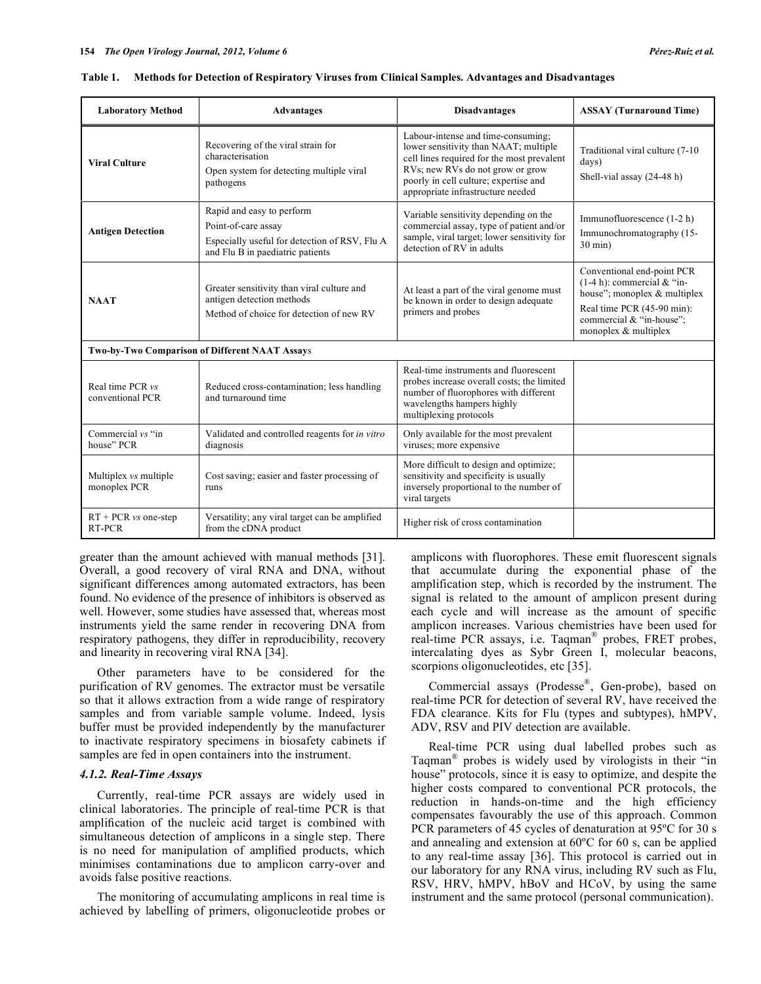| <b>Laboratory Method</b>                       | <b>Advantages</b>                                                                                                                     | <b>Disadvantages</b>                                                                                                                                                                                                                        |                                                                                                                                                                               |  |  |  |
|------------------------------------------------|---------------------------------------------------------------------------------------------------------------------------------------|---------------------------------------------------------------------------------------------------------------------------------------------------------------------------------------------------------------------------------------------|-------------------------------------------------------------------------------------------------------------------------------------------------------------------------------|--|--|--|
| <b>Viral Culture</b>                           | Recovering of the viral strain for<br>characterisation<br>Open system for detecting multiple viral<br>pathogens                       | Labour-intense and time-consuming:<br>lower sensitivity than NAAT; multiple<br>cell lines required for the most prevalent<br>RVs; new RVs do not grow or grow<br>poorly in cell culture; expertise and<br>appropriate infrastructure needed | Traditional viral culture (7-10<br>days)<br>Shell-vial assay (24-48 h)                                                                                                        |  |  |  |
| <b>Antigen Detection</b>                       | Rapid and easy to perform<br>Point-of-care assay<br>Especially useful for detection of RSV, Flu A<br>and Flu B in paediatric patients | Variable sensitivity depending on the<br>commercial assay, type of patient and/or<br>sample, viral target; lower sensitivity for<br>detection of RV in adults                                                                               | Immunofluorescence (1-2 h)<br>Immunochromatography (15-<br>$30 \text{ min}$ )                                                                                                 |  |  |  |
| <b>NAAT</b>                                    | Greater sensitivity than viral culture and<br>antigen detection methods<br>Method of choice for detection of new RV                   | At least a part of the viral genome must<br>be known in order to design adequate<br>primers and probes                                                                                                                                      | Conventional end-point PCR<br>$(1-4 h)$ : commercial & "in-<br>house"; monoplex & multiplex<br>Real time PCR (45-90 min):<br>commercial & "in-house":<br>monoplex & multiplex |  |  |  |
| Two-by-Two Comparison of Different NAAT Assays |                                                                                                                                       |                                                                                                                                                                                                                                             |                                                                                                                                                                               |  |  |  |
| Real time PCR vs<br>conventional PCR           | Reduced cross-contamination; less handling<br>and turnaround time                                                                     | Real-time instruments and fluorescent<br>probes increase overall costs; the limited<br>number of fluorophores with different<br>wavelengths hampers highly<br>multiplexing protocols                                                        |                                                                                                                                                                               |  |  |  |
| Commercial vs "in<br>house" PCR                | Validated and controlled reagents for in vitro<br>diagnosis                                                                           | Only available for the most prevalent<br>viruses; more expensive                                                                                                                                                                            |                                                                                                                                                                               |  |  |  |
| Multiplex vs multiple<br>monoplex PCR          | Cost saving; easier and faster processing of<br>runs                                                                                  | More difficult to design and optimize;<br>sensitivity and specificity is usually<br>inversely proportional to the number of<br>viral targets                                                                                                |                                                                                                                                                                               |  |  |  |
| RT + PCR vs one-step<br>RT-PCR                 | Versatility; any viral target can be amplified<br>from the cDNA product                                                               | Higher risk of cross contamination                                                                                                                                                                                                          |                                                                                                                                                                               |  |  |  |

**Table 1. Methods for Detection of Respiratory Viruses from Clinical Samples. Advantages and Disadvantages** 

greater than the amount achieved with manual methods [31]. Overall, a good recovery of viral RNA and DNA, without significant differences among automated extractors, has been found. No evidence of the presence of inhibitors is observed as well. However, some studies have assessed that, whereas most instruments yield the same render in recovering DNA from respiratory pathogens, they differ in reproducibility, recovery and linearity in recovering viral RNA [34].

 Other parameters have to be considered for the purification of RV genomes. The extractor must be versatile so that it allows extraction from a wide range of respiratory samples and from variable sample volume. Indeed, lysis buffer must be provided independently by the manufacturer to inactivate respiratory specimens in biosafety cabinets if samples are fed in open containers into the instrument.

# *4.1.2. Real-Time Assays*

 Currently, real-time PCR assays are widely used in clinical laboratories. The principle of real-time PCR is that amplification of the nucleic acid target is combined with simultaneous detection of amplicons in a single step. There is no need for manipulation of amplified products, which minimises contaminations due to amplicon carry-over and avoids false positive reactions.

 The monitoring of accumulating amplicons in real time is achieved by labelling of primers, oligonucleotide probes or

amplicons with fluorophores. These emit fluorescent signals that accumulate during the exponential phase of the amplification step, which is recorded by the instrument. The signal is related to the amount of amplicon present during each cycle and will increase as the amount of specific amplicon increases. Various chemistries have been used for real-time PCR assays, i.e. Taqman® probes, FRET probes, intercalating dyes as Sybr Green I, molecular beacons, scorpions oligonucleotides, etc [35].

 Commercial assays (Prodesse®, Gen-probe), based on real-time PCR for detection of several RV, have received the FDA clearance. Kits for Flu (types and subtypes), hMPV, ADV, RSV and PIV detection are available.

 Real-time PCR using dual labelled probes such as Taqman® probes is widely used by virologists in their "in house" protocols, since it is easy to optimize, and despite the higher costs compared to conventional PCR protocols, the reduction in hands-on-time and the high efficiency compensates favourably the use of this approach. Common PCR parameters of 45 cycles of denaturation at 95ºC for 30 s and annealing and extension at 60ºC for 60 s, can be applied to any real-time assay [36]. This protocol is carried out in our laboratory for any RNA virus, including RV such as Flu, RSV, HRV, hMPV, hBoV and HCoV, by using the same instrument and the same protocol (personal communication).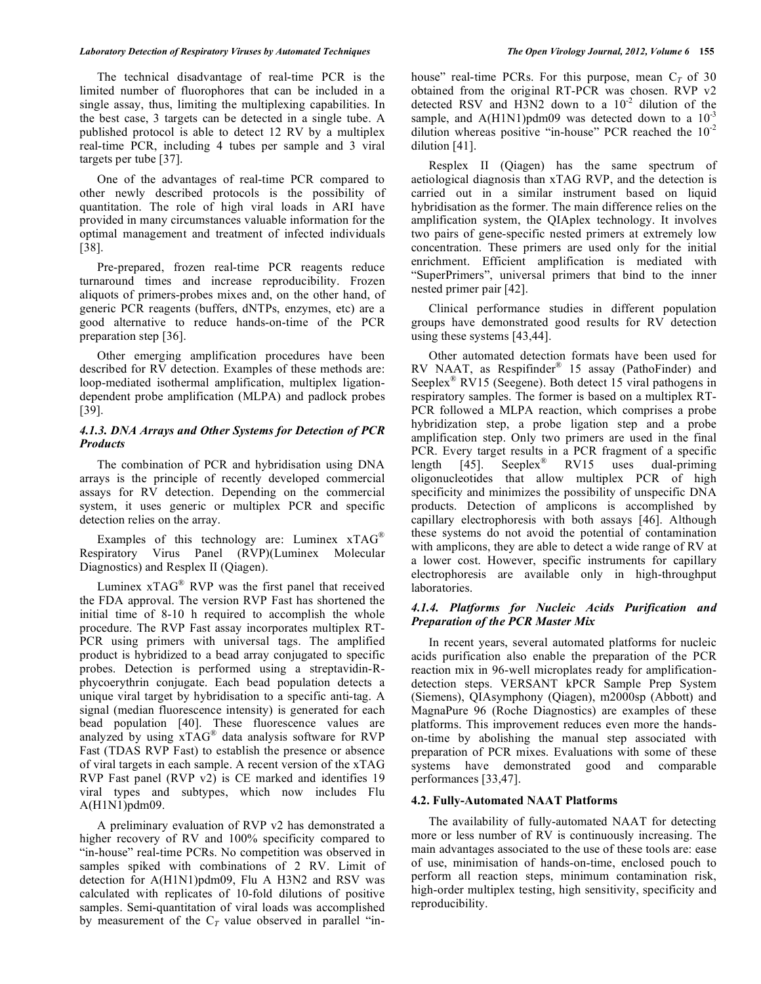#### *Laboratory Detection of Respiratory Viruses by Automated Techniques The Open Virology Journal, 2012, Volume 6* **155**

 The technical disadvantage of real-time PCR is the limited number of fluorophores that can be included in a single assay, thus, limiting the multiplexing capabilities. In the best case, 3 targets can be detected in a single tube. A published protocol is able to detect 12 RV by a multiplex real-time PCR, including 4 tubes per sample and 3 viral targets per tube [37].

 One of the advantages of real-time PCR compared to other newly described protocols is the possibility of quantitation. The role of high viral loads in ARI have provided in many circumstances valuable information for the optimal management and treatment of infected individuals [38].

 Pre-prepared, frozen real-time PCR reagents reduce turnaround times and increase reproducibility. Frozen aliquots of primers-probes mixes and, on the other hand, of generic PCR reagents (buffers, dNTPs, enzymes, etc) are a good alternative to reduce hands-on-time of the PCR preparation step [36].

 Other emerging amplification procedures have been described for RV detection. Examples of these methods are: loop-mediated isothermal amplification, multiplex ligationdependent probe amplification (MLPA) and padlock probes [39].

# *4.1.3. DNA Arrays and Other Systems for Detection of PCR Products*

 The combination of PCR and hybridisation using DNA arrays is the principle of recently developed commercial assays for RV detection. Depending on the commercial system, it uses generic or multiplex PCR and specific detection relies on the array.

 Examples of this technology are: Luminex xTAG® Respiratory Virus Panel (RVP)(Luminex Molecular Diagnostics) and Resplex II (Qiagen).

Luminex  $xTAG^{\circledast}$  RVP was the first panel that received the FDA approval. The version RVP Fast has shortened the initial time of 8-10 h required to accomplish the whole procedure. The RVP Fast assay incorporates multiplex RT-PCR using primers with universal tags. The amplified product is hybridized to a bead array conjugated to specific probes. Detection is performed using a streptavidin-Rphycoerythrin conjugate. Each bead population detects a unique viral target by hybridisation to a specific anti-tag. A signal (median fluorescence intensity) is generated for each bead population [40]. These fluorescence values are analyzed by using xTAG® data analysis software for RVP Fast (TDAS RVP Fast) to establish the presence or absence of viral targets in each sample. A recent version of the xTAG RVP Fast panel (RVP v2) is CE marked and identifies 19 viral types and subtypes, which now includes Flu A(H1N1)pdm09.

 A preliminary evaluation of RVP v2 has demonstrated a higher recovery of RV and 100% specificity compared to "in-house" real-time PCRs. No competition was observed in samples spiked with combinations of 2 RV. Limit of detection for A(H1N1)pdm09, Flu A H3N2 and RSV was calculated with replicates of 10-fold dilutions of positive samples. Semi-quantitation of viral loads was accomplished by measurement of the  $C_T$  value observed in parallel "inhouse" real-time PCRs. For this purpose, mean  $C_T$  of 30 obtained from the original RT-PCR was chosen. RVP v2 detected RSV and H3N2 down to a  $10^{-2}$  dilution of the sample, and  $A(H1N1)$ pdm09 was detected down to a  $10^{-3}$ dilution whereas positive "in-house" PCR reached the  $10^{-2}$ dilution [41].

 Resplex II (Qiagen) has the same spectrum of aetiological diagnosis than xTAG RVP, and the detection is carried out in a similar instrument based on liquid hybridisation as the former. The main difference relies on the amplification system, the QIAplex technology. It involves two pairs of gene-specific nested primers at extremely low concentration. These primers are used only for the initial enrichment. Efficient amplification is mediated with "SuperPrimers", universal primers that bind to the inner nested primer pair [42].

 Clinical performance studies in different population groups have demonstrated good results for RV detection using these systems [43,44].

 Other automated detection formats have been used for RV NAAT, as Respifinder® 15 assay (PathoFinder) and Seeplex<sup>®</sup> RV15 (Seegene). Both detect 15 viral pathogens in respiratory samples. The former is based on a multiplex RT-PCR followed a MLPA reaction, which comprises a probe hybridization step, a probe ligation step and a probe amplification step. Only two primers are used in the final PCR. Every target results in a PCR fragment of a specific length  $\begin{bmatrix} 45 \end{bmatrix}$ . Seeplex<sup>®</sup> RV15 uses dual-priming oligonucleotides that allow multiplex PCR of high specificity and minimizes the possibility of unspecific DNA products. Detection of amplicons is accomplished by capillary electrophoresis with both assays [46]. Although these systems do not avoid the potential of contamination with amplicons, they are able to detect a wide range of RV at a lower cost. However, specific instruments for capillary electrophoresis are available only in high-throughput laboratories.

# *4.1.4. Platforms for Nucleic Acids Purification and Preparation of the PCR Master Mix*

 In recent years, several automated platforms for nucleic acids purification also enable the preparation of the PCR reaction mix in 96-well microplates ready for amplificationdetection steps. VERSANT kPCR Sample Prep System (Siemens), QIAsymphony (Qiagen), m2000sp (Abbott) and MagnaPure 96 (Roche Diagnostics) are examples of these platforms. This improvement reduces even more the handson-time by abolishing the manual step associated with preparation of PCR mixes. Evaluations with some of these systems have demonstrated good and comparable performances [33,47].

## **4.2. Fully-Automated NAAT Platforms**

 The availability of fully-automated NAAT for detecting more or less number of RV is continuously increasing. The main advantages associated to the use of these tools are: ease of use, minimisation of hands-on-time, enclosed pouch to perform all reaction steps, minimum contamination risk, high-order multiplex testing, high sensitivity, specificity and reproducibility.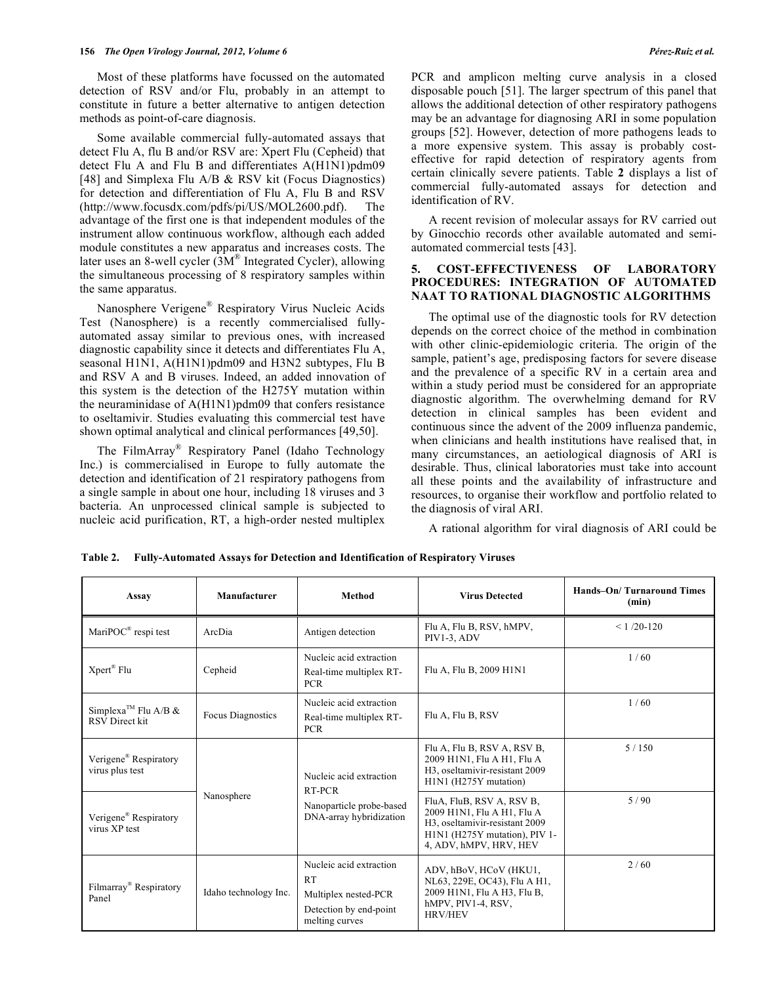Most of these platforms have focussed on the automated detection of RSV and/or Flu, probably in an attempt to constitute in future a better alternative to antigen detection methods as point-of-care diagnosis.

 Some available commercial fully-automated assays that detect Flu A, flu B and/or RSV are: Xpert Flu (Cepheid) that detect Flu A and Flu B and differentiates A(H1N1)pdm09 [48] and Simplexa Flu A/B & RSV kit (Focus Diagnostics) for detection and differentiation of Flu A, Flu B and RSV (http://www.focusdx.com/pdfs/pi/US/MOL2600.pdf). The advantage of the first one is that independent modules of the instrument allow continuous workflow, although each added module constitutes a new apparatus and increases costs. The later uses an 8-well cycler  $(3M<sup>®</sup>$  Integrated Cycler), allowing the simultaneous processing of 8 respiratory samples within the same apparatus.

 Nanosphere Verigene® Respiratory Virus Nucleic Acids Test (Nanosphere) is a recently commercialised fullyautomated assay similar to previous ones, with increased diagnostic capability since it detects and differentiates Flu A, seasonal H1N1, A(H1N1)pdm09 and H3N2 subtypes, Flu B and RSV A and B viruses. Indeed, an added innovation of this system is the detection of the H275Y mutation within the neuraminidase of A(H1N1)pdm09 that confers resistance to oseltamivir. Studies evaluating this commercial test have shown optimal analytical and clinical performances [49,50].

 The FilmArray® Respiratory Panel (Idaho Technology Inc.) is commercialised in Europe to fully automate the detection and identification of 21 respiratory pathogens from a single sample in about one hour, including 18 viruses and 3 bacteria. An unprocessed clinical sample is subjected to nucleic acid purification, RT, a high-order nested multiplex

PCR and amplicon melting curve analysis in a closed disposable pouch [51]. The larger spectrum of this panel that allows the additional detection of other respiratory pathogens may be an advantage for diagnosing ARI in some population groups [52]. However, detection of more pathogens leads to a more expensive system. This assay is probably costeffective for rapid detection of respiratory agents from certain clinically severe patients. Table **2** displays a list of commercial fully-automated assays for detection and identification of RV.

 A recent revision of molecular assays for RV carried out by Ginocchio records other available automated and semiautomated commercial tests [43].

## **5. COST-EFFECTIVENESS OF LABORATORY PROCEDURES: INTEGRATION OF AUTOMATED NAAT TO RATIONAL DIAGNOSTIC ALGORITHMS**

 The optimal use of the diagnostic tools for RV detection depends on the correct choice of the method in combination with other clinic-epidemiologic criteria. The origin of the sample, patient's age, predisposing factors for severe disease and the prevalence of a specific RV in a certain area and within a study period must be considered for an appropriate diagnostic algorithm. The overwhelming demand for RV detection in clinical samples has been evident and continuous since the advent of the 2009 influenza pandemic, when clinicians and health institutions have realised that, in many circumstances, an aetiological diagnosis of ARI is desirable. Thus, clinical laboratories must take into account all these points and the availability of infrastructure and resources, to organise their workflow and portfolio related to the diagnosis of viral ARI.

A rational algorithm for viral diagnosis of ARI could be

| Assay                                                    | Manufacturer             | <b>Method</b>                                                                                     | <b>Virus Detected</b>                                                                                                                                | Hands-On/Turnaround Times<br>(min) |
|----------------------------------------------------------|--------------------------|---------------------------------------------------------------------------------------------------|------------------------------------------------------------------------------------------------------------------------------------------------------|------------------------------------|
| MariPOC <sup>®</sup> respi test                          | ArcDia                   | Antigen detection                                                                                 | Flu A, Flu B, RSV, hMPV,<br>PIV1-3, ADV                                                                                                              | $< 1/20 - 120$                     |
| $X$ pert® Flu                                            | Cepheid                  | Nucleic acid extraction<br>Real-time multiplex RT-<br><b>PCR</b>                                  | Flu A, Flu B, 2009 H1N1                                                                                                                              | 1/60                               |
| Simplexa <sup>™</sup> Flu A/B &<br><b>RSV</b> Direct kit | <b>Focus Diagnostics</b> | Nucleic acid extraction<br>Real-time multiplex RT-<br><b>PCR</b>                                  | Flu A, Flu B, RSV                                                                                                                                    | 1/60                               |
| Verigene <sup>®</sup> Respiratory<br>virus plus test     | Nanosphere               | Nucleic acid extraction<br>RT-PCR<br>Nanoparticle probe-based<br>DNA-array hybridization          | Flu A, Flu B, RSV A, RSV B,<br>2009 H1N1, Flu A H1, Flu A<br>H3, oseltamivir-resistant 2009<br>H1N1 (H275Y mutation)                                 | 5/150                              |
| Verigene <sup>®</sup> Respiratory<br>virus XP test       |                          |                                                                                                   | FluA, FluB, RSV A, RSV B,<br>2009 H1N1, Flu A H1, Flu A<br>H3, oseltamivir-resistant 2009<br>H1N1 (H275Y mutation), PIV 1-<br>4, ADV, hMPV, HRV, HEV | 5/90                               |
| Filmarray <sup>®</sup> Respiratory<br>Panel              | Idaho technology Inc.    | Nucleic acid extraction<br>RT<br>Multiplex nested-PCR<br>Detection by end-point<br>melting curves | ADV, hBoV, HCoV (HKU1,<br>NL63, 229E, OC43), Flu A H1,<br>2009 H1N1, Flu A H3, Flu B,<br>hMPV, PIV1-4, RSV,<br><b>HRV/HEV</b>                        | 2/60                               |

**Table 2. Fully-Automated Assays for Detection and Identification of Respiratory Viruses**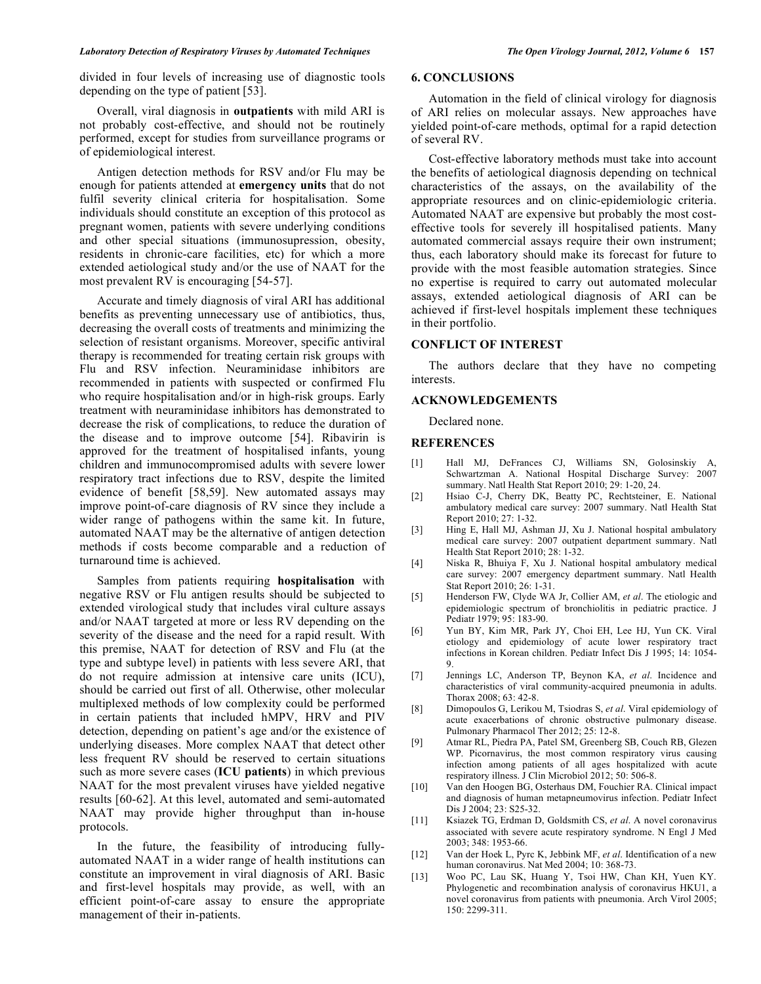divided in four levels of increasing use of diagnostic tools depending on the type of patient [53].

 Overall, viral diagnosis in **outpatients** with mild ARI is not probably cost-effective, and should not be routinely performed, except for studies from surveillance programs or of epidemiological interest.

 Antigen detection methods for RSV and/or Flu may be enough for patients attended at **emergency units** that do not fulfil severity clinical criteria for hospitalisation. Some individuals should constitute an exception of this protocol as pregnant women, patients with severe underlying conditions and other special situations (immunosupression, obesity, residents in chronic-care facilities, etc) for which a more extended aetiological study and/or the use of NAAT for the most prevalent RV is encouraging [54-57].

 Accurate and timely diagnosis of viral ARI has additional benefits as preventing unnecessary use of antibiotics, thus, decreasing the overall costs of treatments and minimizing the selection of resistant organisms. Moreover, specific antiviral therapy is recommended for treating certain risk groups with Flu and RSV infection. Neuraminidase inhibitors are recommended in patients with suspected or confirmed Flu who require hospitalisation and/or in high-risk groups. Early treatment with neuraminidase inhibitors has demonstrated to decrease the risk of complications, to reduce the duration of the disease and to improve outcome [54]. Ribavirin is approved for the treatment of hospitalised infants, young children and immunocompromised adults with severe lower respiratory tract infections due to RSV, despite the limited evidence of benefit [58,59]. New automated assays may improve point-of-care diagnosis of RV since they include a wider range of pathogens within the same kit. In future, automated NAAT may be the alternative of antigen detection methods if costs become comparable and a reduction of turnaround time is achieved.

 Samples from patients requiring **hospitalisation** with negative RSV or Flu antigen results should be subjected to extended virological study that includes viral culture assays and/or NAAT targeted at more or less RV depending on the severity of the disease and the need for a rapid result. With this premise, NAAT for detection of RSV and Flu (at the type and subtype level) in patients with less severe ARI, that do not require admission at intensive care units (ICU), should be carried out first of all. Otherwise, other molecular multiplexed methods of low complexity could be performed in certain patients that included hMPV, HRV and PIV detection, depending on patient's age and/or the existence of underlying diseases. More complex NAAT that detect other less frequent RV should be reserved to certain situations such as more severe cases (**ICU patients**) in which previous NAAT for the most prevalent viruses have yielded negative results [60-62]. At this level, automated and semi-automated NAAT may provide higher throughput than in-house protocols.

 In the future, the feasibility of introducing fullyautomated NAAT in a wider range of health institutions can constitute an improvement in viral diagnosis of ARI. Basic and first-level hospitals may provide, as well, with an efficient point-of-care assay to ensure the appropriate management of their in-patients.

# **6. CONCLUSIONS**

 Automation in the field of clinical virology for diagnosis of ARI relies on molecular assays. New approaches have yielded point-of-care methods, optimal for a rapid detection of several RV.

 Cost-effective laboratory methods must take into account the benefits of aetiological diagnosis depending on technical characteristics of the assays, on the availability of the appropriate resources and on clinic-epidemiologic criteria. Automated NAAT are expensive but probably the most costeffective tools for severely ill hospitalised patients. Many automated commercial assays require their own instrument; thus, each laboratory should make its forecast for future to provide with the most feasible automation strategies. Since no expertise is required to carry out automated molecular assays, extended aetiological diagnosis of ARI can be achieved if first-level hospitals implement these techniques in their portfolio.

## **CONFLICT OF INTEREST**

 The authors declare that they have no competing interests.

#### **ACKNOWLEDGEMENTS**

Declared none.

## **REFERENCES**

- [1] Hall MJ, DeFrances CJ, Williams SN, Golosinskiy A, Schwartzman A. National Hospital Discharge Survey: 2007 summary. Natl Health Stat Report 2010; 29: 1-20, 24.
- [2] Hsiao C-J, Cherry DK, Beatty PC, Rechtsteiner, E. National ambulatory medical care survey: 2007 summary. Natl Health Stat Report 2010; 27: 1-32.
- [3] Hing E, Hall MJ, Ashman JJ, Xu J. National hospital ambulatory medical care survey: 2007 outpatient department summary. Natl Health Stat Report 2010; 28: 1-32.
- [4] Niska R, Bhuiya F, Xu J. National hospital ambulatory medical care survey: 2007 emergency department summary. Natl Health Stat Report 2010; 26: 1-31.
- [5] Henderson FW, Clyde WA Jr, Collier AM, *et al*. The etiologic and epidemiologic spectrum of bronchiolitis in pediatric practice. J Pediatr 1979; 95: 183-90.
- [6] Yun BY, Kim MR, Park JY, Choi EH, Lee HJ, Yun CK. Viral etiology and epidemiology of acute lower respiratory tract infections in Korean children. Pediatr Infect Dis J 1995; 14: 1054- 9.
- [7] Jennings LC, Anderson TP, Beynon KA, *et al*. Incidence and characteristics of viral community-acquired pneumonia in adults. Thorax 2008; 63: 42-8.
- [8] Dimopoulos G, Lerikou M, Tsiodras S, *et al*. Viral epidemiology of acute exacerbations of chronic obstructive pulmonary disease. Pulmonary Pharmacol Ther 2012; 25: 12-8.
- [9] Atmar RL, Piedra PA, Patel SM, Greenberg SB, Couch RB, Glezen WP. Picornavirus, the most common respiratory virus causing infection among patients of all ages hospitalized with acute respiratory illness. J Clin Microbiol 2012; 50: 506-8.
- [10] Van den Hoogen BG, Osterhaus DM, Fouchier RA. Clinical impact and diagnosis of human metapneumovirus infection. Pediatr Infect Dis J 2004; 23: S25-32.
- [11] Ksiazek TG, Erdman D, Goldsmith CS, *et al*. A novel coronavirus associated with severe acute respiratory syndrome. N Engl J Med 2003; 348: 1953-66.
- [12] Van der Hoek L, Pyrc K, Jebbink MF, *et al*. Identification of a new human coronavirus. Nat Med 2004; 10: 368-73.
- [13] Woo PC, Lau SK, Huang Y, Tsoi HW, Chan KH, Yuen KY. Phylogenetic and recombination analysis of coronavirus HKU1, a novel coronavirus from patients with pneumonia. Arch Virol 2005; 150: 2299-311.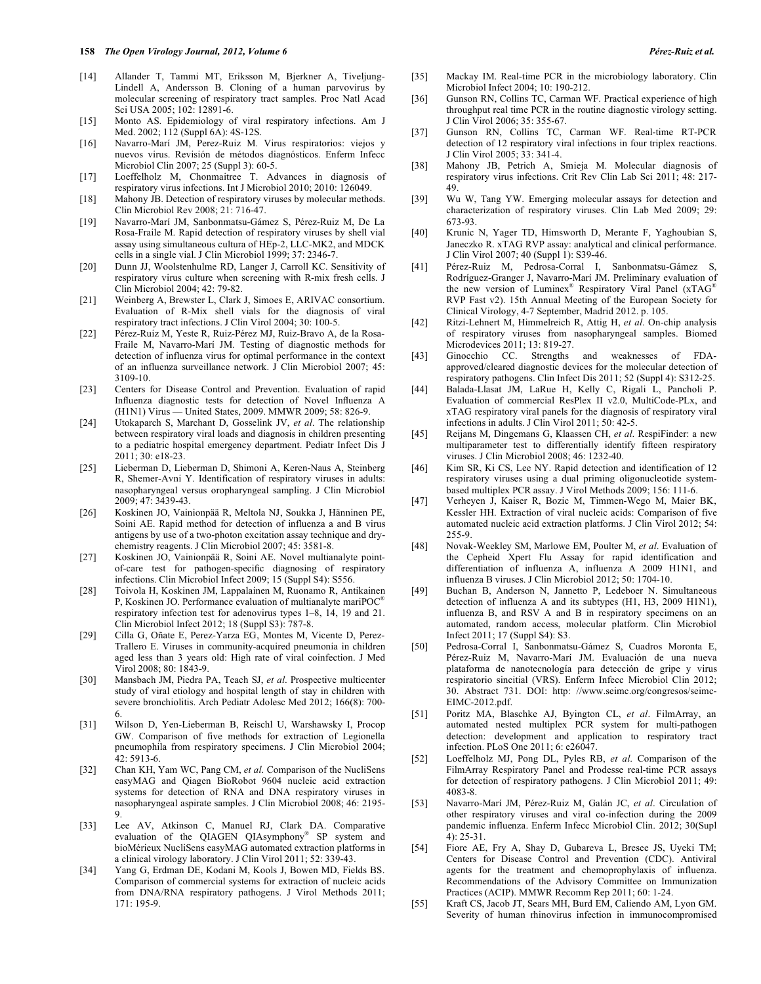- [14] Allander T, Tammi MT, Eriksson M, Bjerkner A, Tiveljung-Lindell A, Andersson B. Cloning of a human parvovirus by molecular screening of respiratory tract samples. Proc Natl Acad Sci USA 2005; 102: 12891-6.
- [15] Monto AS. Epidemiology of viral respiratory infections. Am J Med. 2002; 112 (Suppl 6A): 4S-12S.
- [16] Navarro-Marí JM, Perez-Ruiz M. Virus respiratorios: viejos y nuevos virus. Revisión de métodos diagnósticos. Enferm Infecc Microbiol Clin 2007; 25 (Suppl 3): 60-5.
- [17] Loeffelholz M, Chonmaitree T. Advances in diagnosis of respiratory virus infections. Int J Microbiol 2010; 2010: 126049.
- [18] Mahony JB. Detection of respiratory viruses by molecular methods. Clin Microbiol Rev 2008; 21: 716-47.
- [19] Navarro-Marí JM, Sanbonmatsu-Gámez S, Pérez-Ruiz M, De La Rosa-Fraile M. Rapid detection of respiratory viruses by shell vial assay using simultaneous cultura of HEp-2, LLC-MK2, and MDCK cells in a single vial. J Clin Microbiol 1999; 37: 2346-7.
- [20] Dunn JJ, Woolstenhulme RD, Langer J, Carroll KC. Sensitivity of respiratory virus culture when screening with R-mix fresh cells. J Clin Microbiol 2004; 42: 79-82.
- [21] Weinberg A, Brewster L, Clark J, Simoes E, ARIVAC consortium. Evaluation of R-Mix shell vials for the diagnosis of viral respiratory tract infections. J Clin Virol 2004; 30: 100-5.
- [22] Pérez-Ruiz M, Yeste R, Ruiz-Pérez MJ, Ruiz-Bravo A, de la Rosa-Fraile M, Navarro-Marí JM. Testing of diagnostic methods for detection of influenza virus for optimal performance in the context of an influenza surveillance network. J Clin Microbiol 2007; 45: 3109-10.
- [23] Centers for Disease Control and Prevention. Evaluation of rapid Influenza diagnostic tests for detection of Novel Influenza A (H1N1) Virus — United States, 2009. MMWR 2009; 58: 826-9.
- [24] Utokaparch S, Marchant D, Gosselink JV, *et al*. The relationship between respiratory viral loads and diagnosis in children presenting to a pediatric hospital emergency department. Pediatr Infect Dis J 2011; 30: e18-23.
- [25] Lieberman D, Lieberman D, Shimoni A, Keren-Naus A, Steinberg R, Shemer-Avni Y. Identification of respiratory viruses in adults: nasopharyngeal versus oropharyngeal sampling. J Clin Microbiol 2009; 47: 3439-43.
- [26] Koskinen JO, Vainionpää R, Meltola NJ, Soukka J, Hänninen PE, Soini AE. Rapid method for detection of influenza a and B virus antigens by use of a two-photon excitation assay technique and drychemistry reagents. J Clin Microbiol 2007; 45: 3581-8.
- [27] Koskinen JO, Vainionpää R, Soini AE. Novel multianalyte pointof-care test for pathogen-specific diagnosing of respiratory infections. Clin Microbiol Infect 2009; 15 (Suppl S4): S556.
- [28] Toivola H, Koskinen JM, Lappalainen M, Ruonamo R, Antikainen P, Koskinen JO. Performance evaluation of multianalyte mariPOC® respiratory infection test for adenovirus types 1–8, 14, 19 and 21. Clin Microbiol Infect 2012; 18 (Suppl S3): 787-8.
- [29] Cilla G, Oñate E, Perez-Yarza EG, Montes M, Vicente D, Perez-Trallero E. Viruses in community-acquired pneumonia in children aged less than 3 years old: High rate of viral coinfection. J Med Virol 2008; 80: 1843-9.
- [30] Mansbach JM, Piedra PA, Teach SJ, *et al*. Prospective multicenter study of viral etiology and hospital length of stay in children with severe bronchiolitis. Arch Pediatr Adolesc Med 2012; 166(8): 700- 6.
- [31] Wilson D, Yen-Lieberman B, Reischl U, Warshawsky I, Procop GW. Comparison of five methods for extraction of Legionella pneumophila from respiratory specimens. J Clin Microbiol 2004; 42: 5913-6.
- [32] Chan KH, Yam WC, Pang CM, *et al*. Comparison of the NucliSens easyMAG and Qiagen BioRobot 9604 nucleic acid extraction systems for detection of RNA and DNA respiratory viruses in nasopharyngeal aspirate samples. J Clin Microbiol 2008; 46: 2195- 9.
- [33] Lee AV, Atkinson C, Manuel RJ, Clark DA. Comparative evaluation of the QIAGEN QIAsymphony® SP system and bioMérieux NucliSens easyMAG automated extraction platforms in a clinical virology laboratory. J Clin Virol 2011; 52: 339-43.
- [34] Yang G, Erdman DE, Kodani M, Kools J, Bowen MD, Fields BS. Comparison of commercial systems for extraction of nucleic acids from DNA/RNA respiratory pathogens. J Virol Methods 2011; 171: 195-9.
- [35] Mackay IM. Real-time PCR in the microbiology laboratory. Clin Microbiol Infect 2004; 10: 190-212.
- [36] Gunson RN, Collins TC, Carman WF. Practical experience of high throughput real time PCR in the routine diagnostic virology setting. J Clin Virol 2006; 35: 355-67.
- [37] Gunson RN, Collins TC, Carman WF. Real-time RT-PCR detection of 12 respiratory viral infections in four triplex reactions. J Clin Virol 2005; 33: 341-4.
- [38] Mahony JB, Petrich A, Smieja M. Molecular diagnosis of respiratory virus infections. Crit Rev Clin Lab Sci 2011; 48: 217- 49.
- [39] Wu W, Tang YW. Emerging molecular assays for detection and characterization of respiratory viruses. Clin Lab Med 2009; 29: 673-93.
- [40] Krunic N, Yager TD, Himsworth D, Merante F, Yaghoubian S, Janeczko R. xTAG RVP assay: analytical and clinical performance. J Clin Virol 2007; 40 (Suppl 1): S39-46.
- [41] Pérez-Ruiz M, Pedrosa-Corral I, Sanbonmatsu-Gámez S, Rodríguez-Granger J, Navarro-Marí JM. Preliminary evaluation of the new version of Luminex® Respiratory Viral Panel (xTAG® RVP Fast v2). 15th Annual Meeting of the European Society for Clinical Virology, 4-7 September, Madrid 2012. p. 105.
- [42] Ritzi-Lehnert M, Himmelreich R, Attig H, *et al*. On-chip analysis of respiratory viruses from nasopharyngeal samples. Biomed Microdevices 2011; 13: 819-27.
- [43] Ginocchio CC. Strengths and weaknesses of FDAapproved/cleared diagnostic devices for the molecular detection of respiratory pathogens. Clin Infect Dis 2011; 52 (Suppl 4): S312-25.
- [44] Balada-Llasat JM, LaRue H, Kelly C, Rigali L, Pancholi P. Evaluation of commercial ResPlex II v2.0, MultiCode-PLx, and xTAG respiratory viral panels for the diagnosis of respiratory viral infections in adults. J Clin Virol 2011; 50: 42-5.
- [45] Reijans M, Dingemans G, Klaassen CH, *et al*. RespiFinder: a new multiparameter test to differentially identify fifteen respiratory viruses. J Clin Microbiol 2008; 46: 1232-40.
- [46] Kim SR, Ki CS, Lee NY. Rapid detection and identification of 12 respiratory viruses using a dual priming oligonucleotide systembased multiplex PCR assay. J Virol Methods 2009; 156: 111-6.
- [47] Verheyen J, Kaiser R, Bozic M, Timmen-Wego M, Maier BK, Kessler HH. Extraction of viral nucleic acids: Comparison of five automated nucleic acid extraction platforms. J Clin Virol 2012; 54: 255-9.
- [48] Novak-Weekley SM, Marlowe EM, Poulter M, *et al*. Evaluation of the Cepheid Xpert Flu Assay for rapid identification and differentiation of influenza A, influenza A 2009 H1N1, and influenza B viruses. J Clin Microbiol 2012; 50: 1704-10.
- [49] Buchan B, Anderson N, Jannetto P, Ledeboer N. Simultaneous detection of influenza A and its subtypes (H1, H3, 2009 H1N1), influenza B, and RSV A and B in respiratory specimens on an automated, random access, molecular platform. Clin Microbiol Infect 2011; 17 (Suppl S4): S3.
- [50] Pedrosa-Corral I, Sanbonmatsu-Gámez S, Cuadros Moronta E, Pérez-Ruiz M, Navarro-Marí JM. Evaluación de una nueva plataforma de nanotecnología para detección de gripe y virus respiratorio sincitial (VRS). Enferm Infecc Microbiol Clin 2012; 30. Abstract 731. DOI: http: //www.seimc.org/congresos/seimc-EIMC-2012.pdf.
- [51] Poritz MA, Blaschke AJ, Byington CL, *et al*. FilmArray, an automated nested multiplex PCR system for multi-pathogen detection: development and application to respiratory tract infection. PLoS One 2011; 6: e26047.
- [52] Loeffelholz MJ, Pong DL, Pyles RB, *et al*. Comparison of the FilmArray Respiratory Panel and Prodesse real-time PCR assays for detection of respiratory pathogens. J Clin Microbiol 2011; 49: 4083-8.
- [53] Navarro-Marí JM, Pérez-Ruiz M, Galán JC, *et al*. Circulation of other respiratory viruses and viral co-infection during the 2009 pandemic influenza. Enferm Infecc Microbiol Clin. 2012; 30(Supl 4): 25-31.
- [54] Fiore AE, Fry A, Shay D, Gubareva L, Bresee JS, Uyeki TM; Centers for Disease Control and Prevention (CDC). Antiviral agents for the treatment and chemoprophylaxis of influenza. Recommendations of the Advisory Committee on Immunization Practices (ACIP). MMWR Recomm Rep 2011; 60: 1-24.
- [55] Kraft CS, Jacob JT, Sears MH, Burd EM, Caliendo AM, Lyon GM. Severity of human rhinovirus infection in immunocompromised